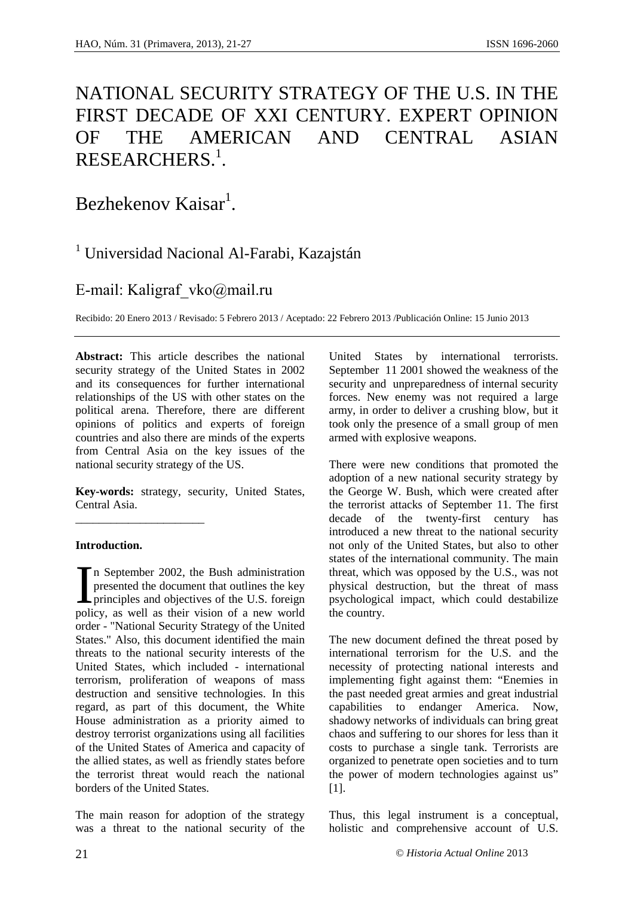# NATIONAL SECURITY STRATEGY OF THE U.S. IN THE FIRST DECADE OF XXI CENTURY. EXPERT OPINION OF THE AMERICAN AND CENTRAL ASIAN  $\mathsf{RESEARCHERS}.^1.$

Bezhekenov Kaisar<sup>1</sup>. .

## <sup>1</sup> Universidad Nacional Al-Farabi, Kazajstán

### E-mail: Kaligraf\_vko@mail.ru

Recibido: 20 Enero 2013 / Revisado: 5 Febrero 2013 / Aceptado: 22 Febrero 2013 /Publicación Online: 15 Junio 2013

**Abstract:** This article describes the national security strategy of the United States in 2002 and its consequences for further international relationships of the US with other states on the political arena. Therefore, there are different opinions of politics and experts of foreign countries and also there are minds of the experts from Central Asia on the key issues of the national security strategy of the US.

**Key-words:** strategy, security, United States, Central Asia.

 $\overline{\phantom{a}}$  , we can consider the constraint of  $\overline{\phantom{a}}$ 

#### **Introduction.**

n September 2002, the Bush administration presented the document that outlines the key principles and objectives of the U.S. foreign policy, as well as their vision of a new world order - "National Security Strategy of the United States." Also, this document identified the main threats to the national security interests of the United States, which included - international terrorism, proliferation of weapons of mass destruction and sensitive technologies. In this regard, as part of this document, the White House administration as a priority aimed to destroy terrorist organizations using all facilities of the United States of America and capacity of the allied states, as well as friendly states before the terrorist threat would reach the national borders of the United States. I<br><sub>poli</sub>

The main reason for adoption of the strategy was a threat to the national security of the

United States by international terrorists. September 11 2001 showed the weakness of the security and unpreparedness of internal security forces. New enemy was not required a large army, in order to deliver a crushing blow, but it took only the presence of a small group of men armed with explosive weapons.

There were new conditions that promoted the adoption of a new national security strategy by the George W. Bush, which were created after the terrorist attacks of September 11. The first decade of the twenty-first century has introduced a new threat to the national security not only of the United States, but also to other states of the international community. The main threat, which was opposed by the U.S., was not physical destruction, but the threat of mass psychological impact, which could destabilize the country.

The new document defined the threat posed by international terrorism for the U.S. and the necessity of protecting national interests and implementing fight against them: "Enemies in the past needed great armies and great industrial capabilities to endanger America. Now, shadowy networks of individuals can bring great chaos and suffering to our shores for less than it costs to purchase a single tank. Terrorists are organized to penetrate open societies and to turn the power of modern technologies against us" [1].

Thus, this legal instrument is a conceptual, holistic and comprehensive account of U.S.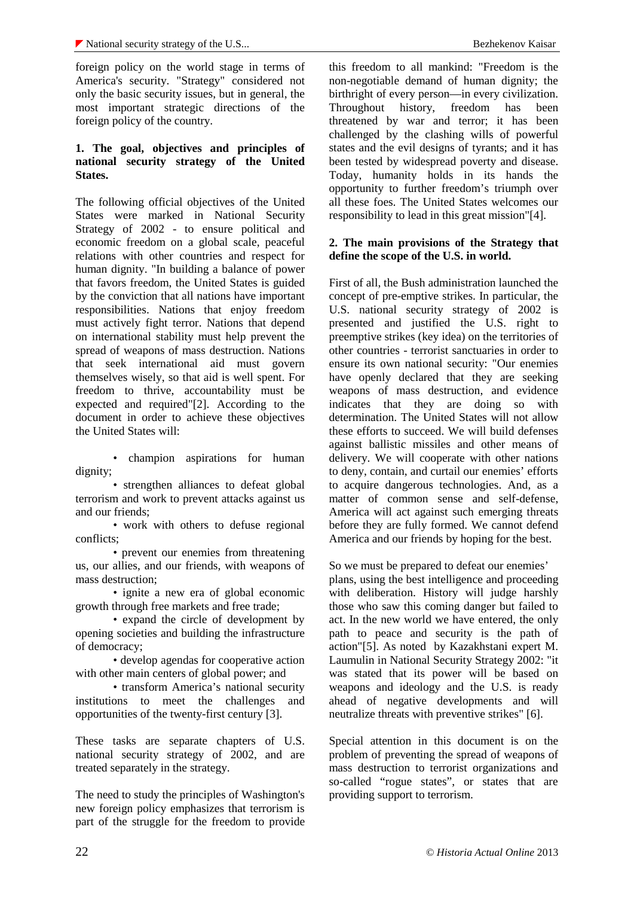foreign policy on the world stage in terms of America's security. "Strategy" considered not only the basic security issues, but in general, the most important strategic directions of the foreign policy of the country.

#### **1. The goal, objectives and principles of national security strategy of the United States.**

The following official objectives of the United States were marked in National Security Strategy of 2002 - to ensure political and economic freedom on a global scale, peaceful relations with other countries and respect for human dignity. "In building a balance of power that favors freedom, the United States is guided by the conviction that all nations have important responsibilities. Nations that enjoy freedom must actively fight terror. Nations that depend on international stability must help prevent the spread of weapons of mass destruction. Nations that seek international aid must govern themselves wisely, so that aid is well spent. For freedom to thrive, accountability must be expected and required"[2]. According to the document in order to achieve these objectives the United States will:

• champion aspirations for human dignity;

• strengthen alliances to defeat global terrorism and work to prevent attacks against us and our friends;

• work with others to defuse regional conflicts;

• prevent our enemies from threatening us, our allies, and our friends, with weapons of mass destruction;

• ignite a new era of global economic growth through free markets and free trade;

• expand the circle of development by opening societies and building the infrastructure of democracy;

• develop agendas for cooperative action with other main centers of global power; and

• transform America's national security institutions to meet the challenges and opportunities of the twenty-first century [3].

These tasks are separate chapters of U.S. national security strategy of 2002, and are treated separately in the strategy.

The need to study the principles of Washington's new foreign policy emphasizes that terrorism is part of the struggle for the freedom to provide

this freedom to all mankind: "Freedom is the non-negotiable demand of human dignity; the birthright of every person—in every civilization. Throughout history, freedom has been threatened by war and terror; it has been challenged by the clashing wills of powerful states and the evil designs of tyrants; and it has been tested by widespread poverty and disease. Today, humanity holds in its hands the opportunity to further freedom's triumph over all these foes. The United States welcomes our responsibility to lead in this great mission"[4].

#### **2. The main provisions of the Strategy that define the scope of the U.S. in world.**

First of all, the Bush administration launched the concept of pre-emptive strikes. In particular, the U.S. national security strategy of 2002 is presented and justified the U.S. right to preemptive strikes (key idea) on the territories of other countries - terrorist sanctuaries in order to ensure its own national security: "Our enemies have openly declared that they are seeking weapons of mass destruction, and evidence indicates that they are doing so with determination. The United States will not allow these efforts to succeed. We will build defenses against ballistic missiles and other means of delivery. We will cooperate with other nations to deny, contain, and curtail our enemies' efforts to acquire dangerous technologies. And, as a matter of common sense and self-defense, America will act against such emerging threats before they are fully formed. We cannot defend America and our friends by hoping for the best.

So we must be prepared to defeat our enemies' plans, using the best intelligence and proceeding with deliberation. History will judge harshly those who saw this coming danger but failed to act. In the new world we have entered, the only path to peace and security is the path of action"[5]. As noted by Kazakhstani expert M. Laumulin in National Security Strategy 2002: "it was stated that its power will be based on weapons and ideology and the U.S. is ready ahead of negative developments and will neutralize threats with preventive strikes" [6].

Special attention in this document is on the problem of preventing the spread of weapons of mass destruction to terrorist organizations and so-called "rogue states", or states that are providing support to terrorism.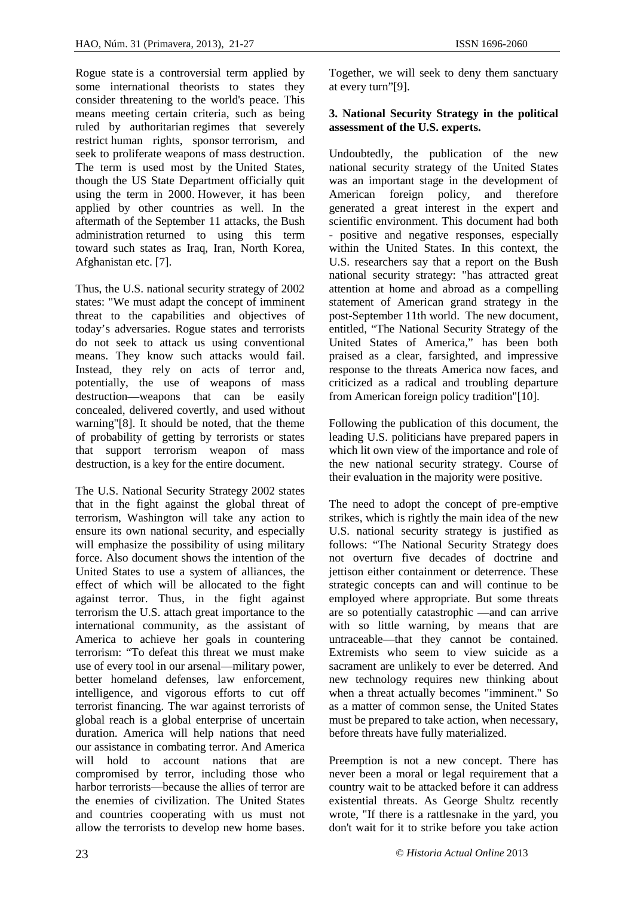Rogue state is a controversial term applied by some international theorists to states they consider threatening to the world's peace. This means meeting certain criteria, such as being ruled by authoritarian regimes that severely restrict human rights, sponsor terrorism, and seek to proliferate weapons of mass destruction. The term is used most by the United States, though the US State Department officially quit using the term in 2000. However, it has been applied by other countries as well. In the aftermath of the September 11 attacks, the Bush administration returned to using this term toward such states as Iraq, Iran, North Korea, Afghanistan etc. [7].

Thus, the U.S. national security strategy of 2002 states: "We must adapt the concept of imminent threat to the capabilities and objectives of today's adversaries. Rogue states and terrorists do not seek to attack us using conventional means. They know such attacks would fail. Instead, they rely on acts of terror and, potentially, the use of weapons of mass destruction—weapons that can be easily concealed, delivered covertly, and used without warning"[8]. It should be noted, that the theme of probability of getting by terrorists or states that support terrorism weapon of mass destruction, is a key for the entire document.

The U.S. National Security Strategy 2002 states that in the fight against the global threat of terrorism, Washington will take any action to ensure its own national security, and especially will emphasize the possibility of using military force. Also document shows the intention of the United States to use a system of alliances, the effect of which will be allocated to the fight against terror. Thus, in the fight against terrorism the U.S. attach great importance to the international community, as the assistant of America to achieve her goals in countering terrorism: "To defeat this threat we must make use of every tool in our arsenal—military power, better homeland defenses, law enforcement, intelligence, and vigorous efforts to cut off terrorist financing. The war against terrorists of global reach is a global enterprise of uncertain duration. America will help nations that need our assistance in combating terror. And America will hold to account nations that are compromised by terror, including those who harbor terrorists—because the allies of terror are the enemies of civilization. The United States and countries cooperating with us must not allow the terrorists to develop new home bases.

Together, we will seek to deny them sanctuary at every turn"[9].

#### **3. National Security Strategy in the political assessment of the U.S. experts.**

Undoubtedly, the publication of the new national security strategy of the United States was an important stage in the development of American foreign policy, and therefore generated a great interest in the expert and scientific environment. This document had both - positive and negative responses, especially within the United States. In this context, the U.S. researchers say that a report on the Bush national security strategy: "has attracted great attention at home and abroad as a compelling statement of American grand strategy in the post-September 11th world. The new document, entitled, "The National Security Strategy of the United States of America," has been both praised as a clear, farsighted, and impressive response to the threats America now faces, and criticized as a radical and troubling departure from American foreign policy tradition"[10].

Following the publication of this document, the leading U.S. politicians have prepared papers in which lit own view of the importance and role of the new national security strategy. Course of their evaluation in the majority were positive.

The need to adopt the concept of pre-emptive strikes, which is rightly the main idea of the new U.S. national security strategy is justified as follows: "The National Security Strategy does not overturn five decades of doctrine and jettison either containment or deterrence. These strategic concepts can and will continue to be employed where appropriate. But some threats are so potentially catastrophic —and can arrive with so little warning, by means that are untraceable—that they cannot be contained. Extremists who seem to view suicide as a sacrament are unlikely to ever be deterred. And new technology requires new thinking about when a threat actually becomes "imminent." So as a matter of common sense, the United States must be prepared to take action, when necessary, before threats have fully materialized.

Preemption is not a new concept. There has never been a moral or legal requirement that a country wait to be attacked before it can address existential threats. As George Shultz recently wrote, "If there is a rattlesnake in the yard, you don't wait for it to strike before you take action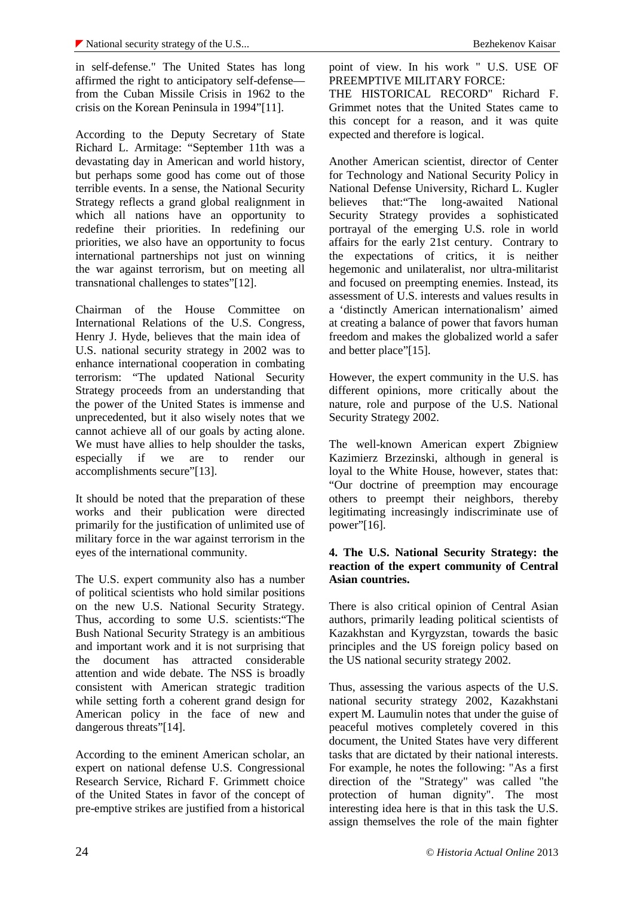in self-defense." The United States has long affirmed the right to anticipatory self-defense from the Cuban Missile Crisis in 1962 to the crisis on the Korean Peninsula in 1994"[11].

According to the Deputy Secretary of State Richard L. Armitage: "September 11th was a devastating day in American and world history, but perhaps some good has come out of those terrible events. In a sense, the National Security Strategy reflects a grand global realignment in which all nations have an opportunity to redefine their priorities. In redefining our priorities, we also have an opportunity to focus international partnerships not just on winning the war against terrorism, but on meeting all transnational challenges to states"[12].

Chairman of the House Committee on International Relations of the U.S. Congress, Henry J. Hyde, believes that the main idea of U.S. national security strategy in 2002 was to enhance international cooperation in combating terrorism: "The updated National Security Strategy proceeds from an understanding that the power of the United States is immense and unprecedented, but it also wisely notes that we cannot achieve all of our goals by acting alone. We must have allies to help shoulder the tasks, especially if we are to render our accomplishments secure"[13].

It should be noted that the preparation of these works and their publication were directed primarily for the justification of unlimited use of military force in the war against terrorism in the eyes of the international community.

The U.S. expert community also has a number of political scientists who hold similar positions on the new U.S. National Security Strategy. Thus, according to some U.S. scientists:"The Bush National Security Strategy is an ambitious and important work and it is not surprising that the document has attracted considerable attention and wide debate. The NSS is broadly consistent with American strategic tradition while setting forth a coherent grand design for American policy in the face of new and dangerous threats"[14].

According to the eminent American scholar, an expert on national defense U.S. Congressional Research Service, Richard F. Grimmett choice of the United States in favor of the concept of pre-emptive strikes are justified from a historical point of view. In his work " U.S. USE OF PREEMPTIVE MILITARY FORCE:

THE HISTORICAL RECORD" Richard F. Grimmet notes that the United States came to this concept for a reason, and it was quite expected and therefore is logical.

Another American scientist, director of Center for Technology and National Security Policy in National Defense University, Richard L. Kugler believes that:"The long-awaited National Security Strategy provides a sophisticated portrayal of the emerging U.S. role in world affairs for the early 21st century. Contrary to the expectations of critics, it is neither hegemonic and unilateralist, nor ultra-militarist and focused on preempting enemies. Instead, its assessment of U.S. interests and values results in a 'distinctly American internationalism' aimed at creating a balance of power that favors human freedom and makes the globalized world a safer and better place"[15].

However, the expert community in the U.S. has different opinions, more critically about the nature, role and purpose of the U.S. National Security Strategy 2002.

The well-known American expert Zbigniew Kazimierz Brzezinski, although in general is loyal to the White House, however, states that: "Our doctrine of preemption may encourage others to preempt their neighbors, thereby legitimating increasingly indiscriminate use of power"[16].

#### **4. The U.S. National Security Strategy: the reaction of the expert community of Central Asian countries.**

There is also critical opinion of Central Asian authors, primarily leading political scientists of Kazakhstan and Kyrgyzstan, towards the basic principles and the US foreign policy based on the US national security strategy 2002.

Thus, assessing the various aspects of the U.S. national security strategy 2002, Kazakhstani expert M. Laumulin notes that under the guise of peaceful motives completely covered in this document, the United States have very different tasks that are dictated by their national interests. For example, he notes the following: "As a first direction of the "Strategy" was called "the protection of human dignity". The most interesting idea here is that in this task the U.S. assign themselves the role of the main fighter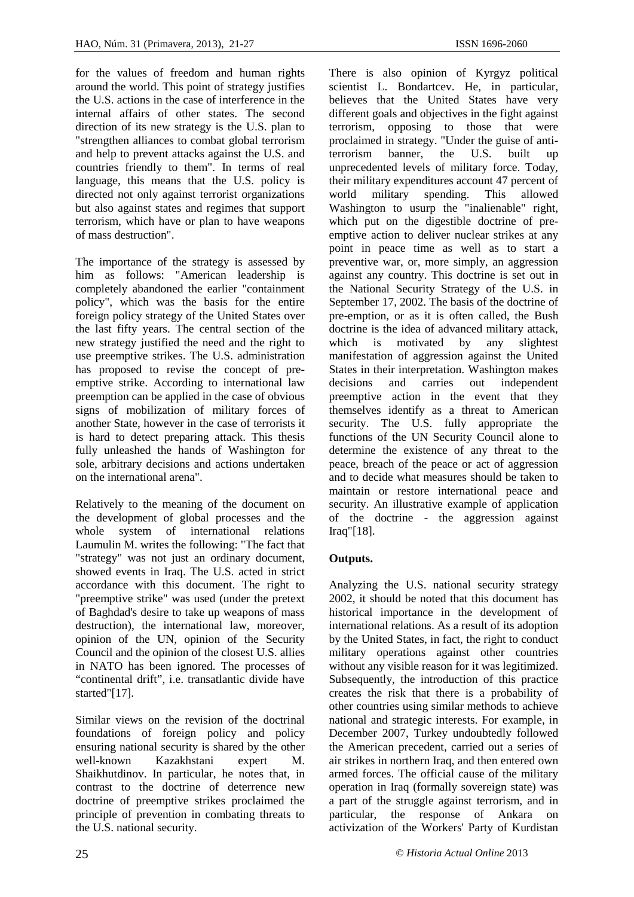for the values of freedom and human rights around the world. This point of strategy justifies the U.S. actions in the case of interference in the internal affairs of other states. The second direction of its new strategy is the U.S. plan to "strengthen alliances to combat global terrorism and help to prevent attacks against the U.S. and countries friendly to them". In terms of real language, this means that the U.S. policy is directed not only against terrorist organizations world but also against states and regimes that support terrorism, which have or plan to have weapons of mass destruction".

The importance of the strategy is assessed by him as follows: "American leadership is completely abandoned the earlier "containment policy", which was the basis for the entire foreign policy strategy of the United States over the last fifty years. The central section of the new strategy justified the need and the right to use preemptive strikes. The U.S. administration has proposed to revise the concept of pre emptive strike. According to international law decisions preemption can be applied in the case of obvious signs of mobilization of military forces of another State, however in the case of terrorists it is hard to detect preparing attack. This thesis fully unleashed the hands of Washington for sole, arbitrary decisions and actions undertaken on the international arena".

Relatively to the meaning of the document on the development of global processes and the whole system of international relations Laumulin M. writes the following: "The fact that "strategy" was not just an ordinary document, showed events in Iraq. The U.S. acted in strict accordance with this document. The right to "preemptive strike" was used (under the pretext of Baghdad's desire to take up weapons of mass destruction), the international law, moreover, opinion of the UN, opinion of the Security Council and the opinion of the closest U.S. allies in NATO has been ignored. The processes of "continental drift", i.e. transatlantic divide have started"[17].

Similar views on the revision of the doctrinal foundations of foreign policy and policy ensuring national security is shared by the other well-known Kazakhstani expert M. Shaikhutdinov. In particular, he notes that, in contrast to the doctrine of deterrence new doctrine of preemptive strikes proclaimed the principle of prevention in combating threats to the U.S. national security.

There is also opinion of Kyrgyz political scientist L. Bondartcev. He, in particular, believes that the United States have very different goals and objectives in the fight against terrorism, opposing to those that were proclaimed in strategy. "Under the guise of antiterrorism banner, the U.S. built up unprecedented levels of military force. Today, their military expenditures account 47 percent of military spending. This allowed Washington to usurp the "inalienable" right, which put on the digestible doctrine of pre emptive action to deliver nuclear strikes at any point in peace time as well as to start a preventive war, or, more simply, an aggression against any country. This doctrine is set out in the National Security Strategy of the U.S. in September 17, 2002. The basis of the doctrine of pre-emption, or as it is often called, the Bush doctrine is the idea of advanced military attack, is motivated by any slightest manifestation of aggression against the United States in their interpretation. Washington makes and carries out independent preemptive action in the event that they themselves identify as a threat to American security. The U.S. fully appropriate the functions of the UN Security Council alone to determine the existence of any threat to the peace, breach of the peace or act of aggression and to decide what measures should be taken to maintain or restore international peace and security. An illustrative example of application of the doctrine - the aggression against Iraq"[18].

### **Outputs.**

Analyzing the U.S. national security strategy 2002, it should be noted that this document has historical importance in the development of international relations. As a result of its adoption by the United States, in fact, the right to conduct military operations against other countries without any visible reason for it was legitimized. Subsequently, the introduction of this practice creates the risk that there is a probability of other countries using similar methods to achieve national and strategic interests. For example, in December 2007, Turkey undoubtedly followed the American precedent, carried out a series of air strikes in northern Iraq, and then entered own armed forces. The official cause of the military operation in Iraq (formally sovereign state) was a part of the struggle against terrorism, and in particular, the response of Ankara on activization of the Workers' Party of Kurdistan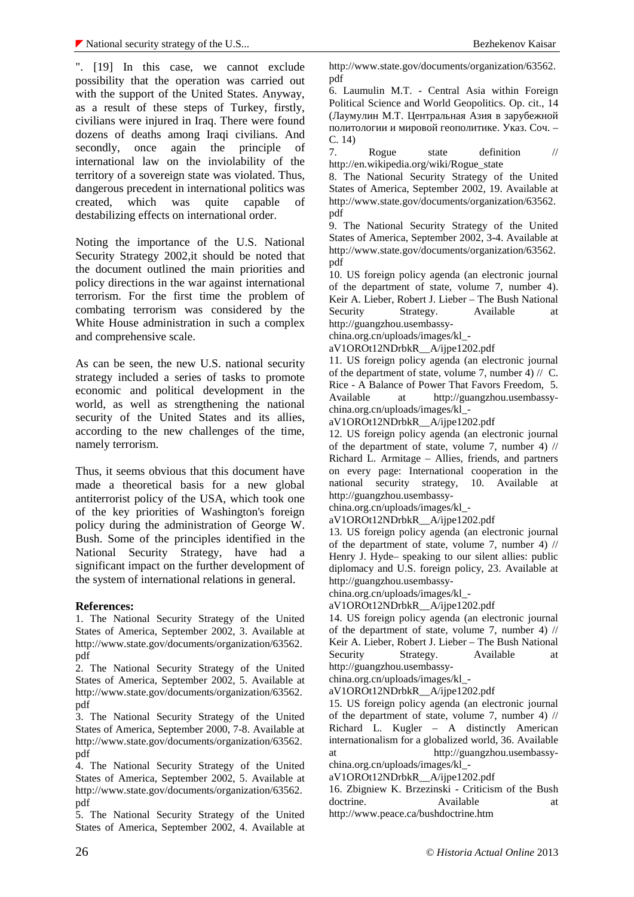". [19] In this case, we cannot exclude possibility that the operation was carried out with the support of the United States. Anyway, as a result of these steps of Turkey, firstly, civilians were injured in Iraq. There were found dozens of deaths among Iraqi civilians. And secondly, once again the principle of  $\overline{7}$ . international law on the inviolability of the territory of a sovereign state was violated. Thus, dangerous precedent in international politics was created, which was quite capable of destabilizing effects on international order.

Noting the importance of the U.S. National Security Strategy 2002,it should be noted that the document outlined the main priorities and policy directions in the war against international terrorism. For the first time the problem of combating terrorism was considered by the White House administration in such a complex and comprehensive scale.

As can be seen, the new U.S. national security strategy included a series of tasks to promote economic and political development in the  $\frac{Kice - A I}{\text{Available}}$ world, as well as strengthening the national security of the United States and its allies, according to the new challenges of the time, namely terrorism.

Thus, it seems obvious that this document have made a theoretical basis for a new global antiterrorist policy of the USA, which took one of the key priorities of Washington's foreign policy during the administration of George W. Bush. Some of the principles identified in the National Security Strategy, have had a significant impact on the further development of the system of international relations in general.

#### **References:**

1. The National Security Strategy of the United States of America, September 2002, 3. Available at http://www.state.gov/documents/organization/63562. pdf

2. The National Security Strategy of the United States of America, September 2002, 5. Available at http://www.state.gov/documents/organization/63562. pdf

3. The National Security Strategy of the United States of America, September 2000, 7-8. Available at http://www.state.gov/documents/organization/63562. pdf

4. The National Security Strategy of the United States of America, September 2002, 5. Available at http://www.state.gov/documents/organization/63562. pdf

5. The National Security Strategy of the United States of America, September 2002, 4. Available at http://www.state.gov/documents/organization/63562. pdf

6. Laumulin M.T. - Central Asia within Foreign Political Science and World Geopolitics. Op. cit., 14  $($   $\ldots$ 

политологии мировой геополитике. Указ. Соч. – . 14)

Rogue state definition // http://en.wikipedia.org/wiki/Rogue\_state

8. The National Security Strategy of the United States of America, September 2002, 19. Available at http://www.state.gov/documents/organization/63562. pdf

9. The National Security Strategy of the United States of America, September 2002, 3-4. Available at http://www.state.gov/documents/organization/63562. pdf

10. US foreign policy agenda (an electronic journal of the department of state, volume 7, number 4). Keir A. Lieber, Robert J. Lieber – The Bush National Strategy. Available at http://guangzhou.usembassy-

china.org.cn/uploads/images/kl\_-

aV1OROt12NDrbkR\_\_A/ijpe1202.pdf

11. US foreign policy agenda (an electronic journal of the department of state, volume 7, number 4) // C. Rice - A Balance of Power That Favors Freedom, 5. at http://guangzhou.usembassychina.org.cn/uploads/images/kl\_-

aV1OROt12NDrbkR\_\_A/ijpe1202.pdf

12. US foreign policy agenda (an electronic journal of the department of state, volume 7, number 4) // Richard L. Armitage – Allies, friends, and partners on every page: International cooperation in the national security strategy, 10. Available at http://guangzhou.usembassy-

china.org.cn/uploads/images/kl\_-

aV1OROt12NDrbkR\_\_A/ijpe1202.pdf

13. US foreign policy agenda (an electronic journal of the department of state, volume 7, number 4) // Henry J. Hyde– speaking to our silent allies: public diplomacy and U.S. foreign policy, 23. Available at http://guangzhou.usembassy-

china.org.cn/uploads/images/kl\_-

aV1OROt12NDrbkR\_\_A/ijpe1202.pdf

14. US foreign policy agenda (an electronic journal of the department of state, volume 7, number 4) // Keir A. Lieber, Robert J. Lieber – The Bush National Security Strategy. Available at http://guangzhou.usembassy-

china.org.cn/uploads/images/kl\_-

aV1OROt12NDrbkR\_\_A/ijpe1202.pdf

15. US foreign policy agenda (an electronic journal of the department of state, volume 7, number 4) // Richard L. Kugler – A distinctly American internationalism for a globalized world, 36. Available at http://guangzhou.usembassy china.org.cn/uploads/images/kl\_-

aV1OROt12NDrbkR\_\_A/ijpe1202.pdf

16. Zbigniew K. Brzezinski - Criticism of the Bush doctrine. Available at http://www.peace.ca/bushdoctrine.htm